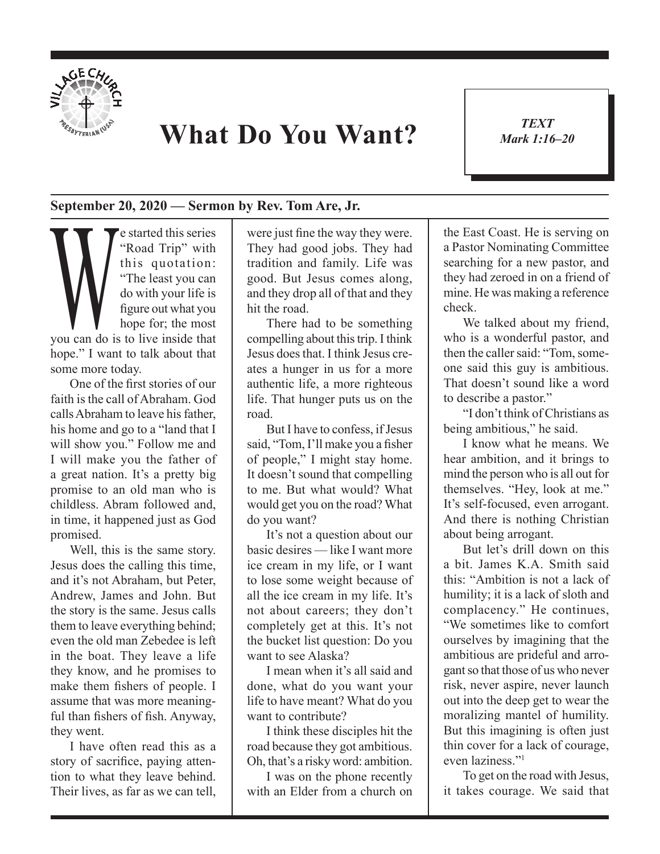

## **What Do You Want?**

*TEXT Mark 1:16–20* 1

## **September 20, 2020 — Sermon by Rev. Tom Are, Jr.**

**Example 18 Started this series**<br>
"Road Trip" with<br>
this quotation:<br>
"The least you can<br>
do with your life is<br>
figure out what you<br>
hope for; the most<br>
you can do is to live inside that "Road Trip" with this quotation: "The least you can do with your life is figure out what you hope for; the most hope." I want to talk about that some more today.

One of the first stories of our faith is the call of Abraham. God calls Abraham to leave his father, his home and go to a "land that I will show you." Follow me and I will make you the father of a great nation. It's a pretty big promise to an old man who is childless. Abram followed and, in time, it happened just as God promised.

Well, this is the same story. Jesus does the calling this time, and it's not Abraham, but Peter, Andrew, James and John. But the story is the same. Jesus calls them to leave everything behind; even the old man Zebedee is left in the boat. They leave a life they know, and he promises to make them fishers of people. I assume that was more meaningful than fishers of fish. Anyway, they went.

I have often read this as a story of sacrifice, paying attention to what they leave behind. Their lives, as far as we can tell, were just fine the way they were. They had good jobs. They had tradition and family. Life was good. But Jesus comes along, and they drop all of that and they hit the road.

There had to be something compelling about this trip. I think Jesus does that. I think Jesus creates a hunger in us for a more authentic life, a more righteous life. That hunger puts us on the road.

But I have to confess, if Jesus said, "Tom, I'll make you a fisher of people," I might stay home. It doesn't sound that compelling to me. But what would? What would get you on the road? What do you want?

It's not a question about our basic desires — like I want more ice cream in my life, or I want to lose some weight because of all the ice cream in my life. It's not about careers; they don't completely get at this. It's not the bucket list question: Do you want to see Alaska?

I mean when it's all said and done, what do you want your life to have meant? What do you want to contribute?

I think these disciples hit the road because they got ambitious. Oh, that's a risky word: ambition.

I was on the phone recently with an Elder from a church on the East Coast. He is serving on a Pastor Nominating Committee searching for a new pastor, and they had zeroed in on a friend of mine. He was making a reference check.

We talked about my friend, who is a wonderful pastor, and then the caller said: "Tom, someone said this guy is ambitious. That doesn't sound like a word to describe a pastor."

"I don't think of Christians as being ambitious," he said.

I know what he means. We hear ambition, and it brings to mind the person who is all out for themselves. "Hey, look at me." It's self-focused, even arrogant. And there is nothing Christian about being arrogant.

But let's drill down on this a bit. James K.A. Smith said this: "Ambition is not a lack of humility; it is a lack of sloth and complacency." He continues, "We sometimes like to comfort ourselves by imagining that the ambitious are prideful and arrogant so that those of us who never risk, never aspire, never launch out into the deep get to wear the moralizing mantel of humility. But this imagining is often just thin cover for a lack of courage, even laziness."1

To get on the road with Jesus, it takes courage. We said that